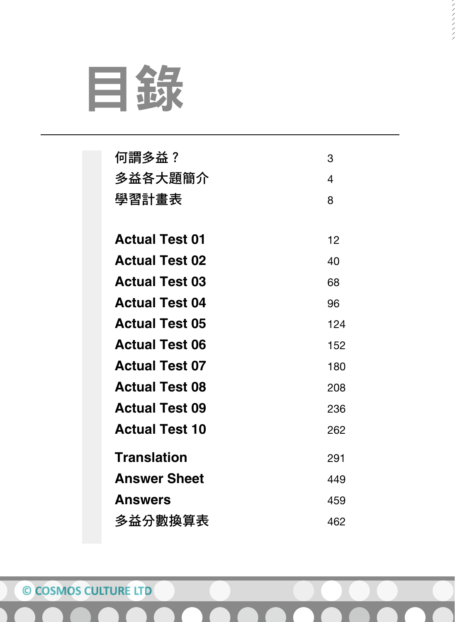

| 何謂多益?                 | 3   |
|-----------------------|-----|
| 多益各大題簡介               | 4   |
| 學習計畫表                 | 8   |
|                       |     |
| <b>Actual Test 01</b> | 12  |
| <b>Actual Test 02</b> | 40  |
| <b>Actual Test 03</b> | 68  |
| <b>Actual Test 04</b> | 96  |
| <b>Actual Test 05</b> | 124 |
| <b>Actual Test 06</b> | 152 |
| <b>Actual Test 07</b> | 180 |
| <b>Actual Test 08</b> | 208 |
| <b>Actual Test 09</b> | 236 |
| <b>Actual Test 10</b> | 262 |
| <b>Translation</b>    | 291 |
| <b>Answer Sheet</b>   | 449 |
| <b>Answers</b>        | 459 |
| 多益分數換算表               | 462 |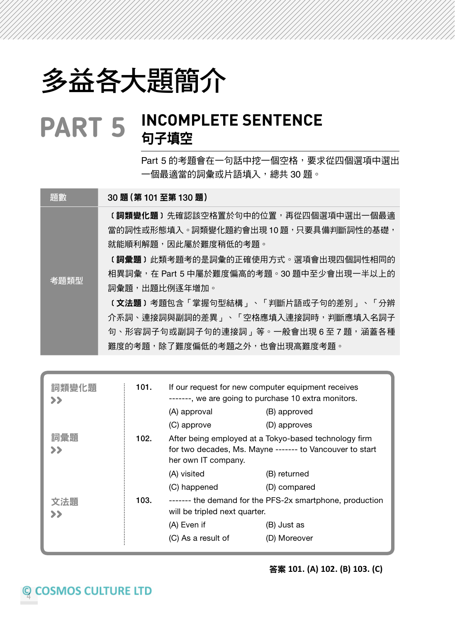## 多益各大題簡介

#### INCOMPLETE SENTENCE 句子填空 **PART 5**

Part 5 的考題會在一句話中挖一個空格,要求從四個選項中選出 一個最適當的詞彙或片語填入,總共 30 題。

題數 30 題 (第 101 至第 130 題)

〔**詞類變化題〕**先確認該空格置於句中的位置,再從四個選項中選出一個最適 當的詞性或形態填入。詞類變化題約會出現 10 題,只要具備判斷詞性的基礎, 就能順利解題,因此屬於難度稍低的考題。

〔**詞彙題**〕此類考題考的是詞彙的正確使用方式。選項會出現四個詞性相同的 相異詞彙, 在 Part 5 中屬於難度偏高的考題。30 題中至少會出現一半以上的 詞彙題,出題比例逐年增加。

**〔文法題〕**考題包含「掌握句型結構」、「判斷片語或子句的差別」、「分辨 介系詞、連接詞與副詞的差異 」、「空格應填入連接詞時,判斷應填入名詞子 句、形容詞子句或副詞子句的連接詞」等。一般會出現6至7題,涵蓋各種 難度的考題,除了難度偏低的考題之外,也會出現高難度考題。

| 詞類變化題<br>>> | 101. | If our request for new computer equipment receives<br>-------, we are going to purchase 10 extra monitors.                               |              |  |
|-------------|------|------------------------------------------------------------------------------------------------------------------------------------------|--------------|--|
|             |      | (A) approval                                                                                                                             | (B) approved |  |
|             |      | (C) approve                                                                                                                              | (D) approves |  |
| 詞彙題<br>>>   | 102. | After being employed at a Tokyo-based technology firm<br>for two decades, Ms. Mayne ------- to Vancouver to start<br>her own IT company. |              |  |
|             |      | (A) visited                                                                                                                              | (B) returned |  |
|             |      | (C) happened                                                                                                                             | (D) compared |  |
| 文法題<br>>>   | 103. | ------- the demand for the PFS-2x smartphone, production<br>will be tripled next quarter.                                                |              |  |
|             |      | (A) Even if                                                                                                                              | (B) Just as  |  |
|             |      | (C) As a result of                                                                                                                       | (D) Moreover |  |

#### 答案 **101. (A) 102. (B) 103. (C)**

考題類型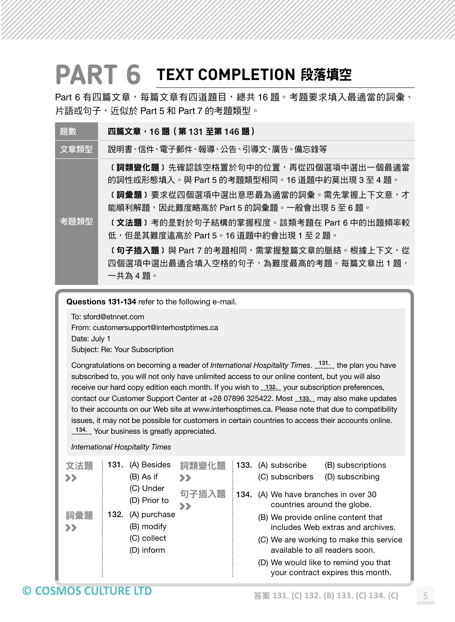## PART 6 TEXT COMPLETION 段落填空

Part 6 有四篇文章,每篇文章有四道題目,總共 16 題。考題要求填入最適當的詞彙、 片語或句子,近似於 Part 5 和 Part 7 的考題類型。

| 題數   | 四篇文章,16題 (第131 至第146 題)                                                                                                                                                                                                                                                                                                                                                             |
|------|-------------------------------------------------------------------------------------------------------------------------------------------------------------------------------------------------------------------------------------------------------------------------------------------------------------------------------------------------------------------------------------|
| 文章類型 | 説明書、信件、電子郵件、報導、公告、引導文、廣告、備忘錄等                                                                                                                                                                                                                                                                                                                                                       |
| 老題類型 | <b>〔詞類變化題〕</b> 先確認該空格置於句中的位置,再從四個選項中選出一個最適當<br>的詞性或形態填入。與 Part 5 的考題類型相同。16 道題中約莫出現 3 至 4 題。<br><b>〔詞彙題〕</b> 要求從四個選項中選出意思最為適當的詞彙。需先掌握上下文意,才<br>能順利解題,因此難度略高於 Part 5 的詞彙題。一般會出現 5 至 6 題。<br>(文法題)考的是對於句子結構的掌握程度。該類考題在 Part 6 中的出題頻率較<br>低,但是其難度遠高於 Part 5。16 道題中約會出現 1 至 2 題。<br><b>〔句子插入題〕</b> 與 Part 7 的考題相同,需掌握整篇文章的脈絡。根據上下文,從<br>四個選項中選出最適合填入空格的句子,為難度最高的考題。每篇文章出 1 題,<br>一共為4題。 |

Questions 131-134 refer to the following e-mail.

To: sford@etnnet.com From: customersupport@interhostptimes.ca Date: July 1 Subject: Re: Your Subscription

Congratulations on becoming a reader of *International Hospitality Times*. <sub>-------</sub> the plan you have subscribed to, you will not only have unlimited access to our online content, but you will also receive our hard copy edition each month. If you wish to \_132. your subscription preferences, contact our Customer Support Center at +28 07896 325422. Most \_133. may also make updates to their accounts on our Web site at www.interhosptimes.ca. Please note that due to compatibility issues, it may not be possible for customers in certain countries to access their accounts online. 134. Your business is greatly appreciated.

| International Hospitality Times |  |
|---------------------------------|--|
|                                 |  |

| 文法題<br>$\rightarrow$ | 131. | (A) Besides<br>(B) As if   | 詞類變化題<br>>> | ∶ 133. | (A) subscribe<br>(B) subscriptions<br>(D) subscribing<br>(C) subscribers  |
|----------------------|------|----------------------------|-------------|--------|---------------------------------------------------------------------------|
|                      |      | (C) Under<br>(D) Prior to  | 句子插入題<br>>> | 134.   | (A) We have branches in over 30<br>countries around the globe.            |
| 詞彙題<br>$\rightarrow$ | 132. | (A) purchase<br>(B) modify |             |        | (B) We provide online content that<br>includes Web extras and archives.   |
|                      |      | (C) collect<br>(D) inform  |             |        | (C) We are working to make this service<br>available to all readers soon. |
|                      |      |                            |             |        | (D) We would like to remind you that<br>your contract expires this month. |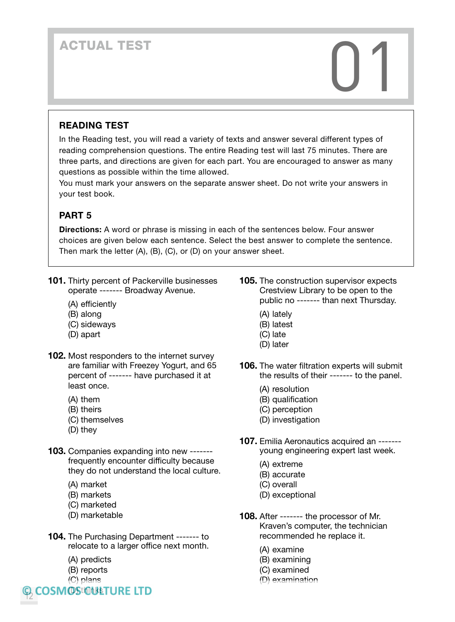# ACTUAL TEST<br>
and the contract of the contract of the contract of the contract of the contract of the contract of the contract of the contract of the contract of the contract of the contract of the contract of the contract

#### READING TEST

In the Reading test, you will read a variety of texts and answer several different types of reading comprehension questions. The entire Reading test will last 75 minutes. There are three parts, and directions are given for each part. You are encouraged to answer as many questions as possible within the time allowed.

You must mark your answers on the separate answer sheet. Do not write your answers in your test book.

#### PART 5

Directions: A word or phrase is missing in each of the sentences below. Four answer choices are given below each sentence. Select the best answer to complete the sentence. Then mark the letter (A), (B), (C), or (D) on your answer sheet.

- **101.** Thirty percent of Packerville businesses operate ------- Broadway Avenue.
	- (A) efficiently
	- (B) along
	- (C) sideways
	- (D) apart
- **102.** Most responders to the internet survey are familiar with Freezey Yogurt, and 65 percent of ------- have purchased it at least once.
	- (A) them
	- (B) theirs
	- (C) themselves
	- (D) they
- 103. Companies expanding into new ------frequently encounter difficulty because they do not understand the local culture.
	- (A) market
	- (B) markets
	- (C) marketed
	- (D) marketable
- 104. The Purchasing Department ------- to relocate to a larger office next month.
	- (A) predicts
	- (B) reports
	- (C) plans

**COSMOStOWETURE LTD** 12

- **105.** The construction supervisor expects Crestview Library to be open to the public no ------- than next Thursday.
	- (A) lately
	- (B) latest
	- (C) late
	- (D) later
- 106. The water filtration experts will submit the results of their ------- to the panel.
	- (A) resolution
	- (B) qualification
	- (C) perception
	- (D) investigation
- 107. Emilia Aeronautics acquired an ------ young engineering expert last week.
	- (A) extreme
	- (B) accurate
	- (C) overall
	- (D) exceptional
- 108. After ------- the processor of Mr. Kraven's computer, the technician recommended he replace it.
	- (A) examine
	- (B) examining
	- (C) examined
	- (D) examination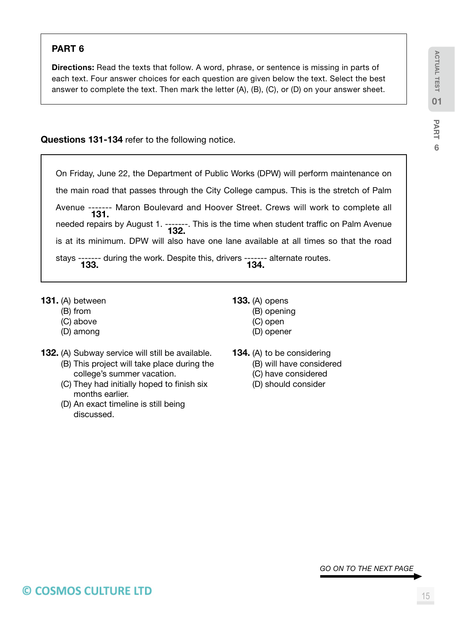#### PART 6

Directions: Read the texts that follow. A word, phrase, or sentence is missing in parts of each text. Four answer choices for each question are given below the text. Select the best answer to complete the text. Then mark the letter (A), (B), (C), or (D) on your answer sheet.

Questions 131-134 refer to the following notice.

| On Friday, June 22, the Department of Public Works (DPW) will perform maintenance on      |  |
|-------------------------------------------------------------------------------------------|--|
| the main road that passes through the City College campus. This is the stretch of Palm    |  |
| Avenue ------- Maron Boulevard and Hoover Street. Crews will work to complete all<br>131. |  |
| needed repairs by August 1. -------. This is the time when student traffic on Palm Avenue |  |
| is at its minimum. DPW will also have one lane available at all times so that the road    |  |
| stays ------- during the work. Despite this, drivers ------- alternate routes.<br>134.    |  |

- 131. (A) between
	- (B) from
	- (C) above
	- (D) among
- 132. (A) Subway service will still be available.
	- (B) This project will take place during the college's summer vacation.
	- (C) They had initially hoped to finish six months earlier.
	- (D) An exact timeline is still being discussed.
- 133. (A) opens
	- (B) opening
	- (C) open
	- (D) opener
- 134. (A) to be considering
	- (B) will have considered
	- (C) have considered
	- (D) should consider

*GO ON TO THE NEXT PAGE*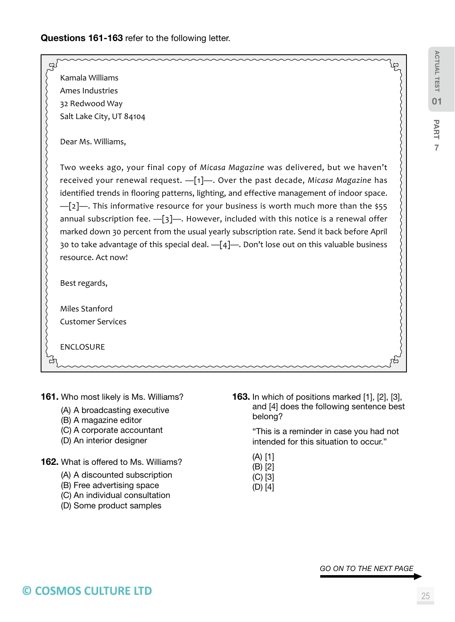#### Questions 161-163 refer to the following letter.

| Kamala Williams                                                                             |  |
|---------------------------------------------------------------------------------------------|--|
| Ames Industries                                                                             |  |
| 32 Redwood Way                                                                              |  |
| Salt Lake City, UT 84104                                                                    |  |
| Dear Ms. Williams,                                                                          |  |
| Two weeks ago, your final copy of Micasa Magazine was delivered, but we haven't             |  |
| received your renewal request. -[1]-. Over the past decade, Micasa Magazine has             |  |
| identified trends in flooring patterns, lighting, and effective management of indoor space. |  |
| $-[2]$ —. This informative resource for your business is worth much more than the \$55      |  |
| annual subscription fee. $-[3]$ —. However, included with this notice is a renewal offer    |  |
| marked down 30 percent from the usual yearly subscription rate. Send it back before April   |  |
| 30 to take advantage of this special deal. -[4]-. Don't lose out on this valuable business  |  |
| resource. Act now!                                                                          |  |
| Best regards,                                                                               |  |
|                                                                                             |  |
| Miles Stanford                                                                              |  |
| <b>Customer Services</b>                                                                    |  |
|                                                                                             |  |
| <b>ENCLOSURE</b>                                                                            |  |
|                                                                                             |  |

- 161. Who most likely is Ms. Williams?
	- (A) A broadcasting executive
	- (B) A magazine editor
	- (C) A corporate accountant
	- (D) An interior designer
- 162. What is offered to Ms. Williams?
	- (A) A discounted subscription
	- (B) Free advertising space
	- (C) An individual consultation
	- (D) Some product samples

163. In which of positions marked [1], [2], [3], and [4] does the following sentence best belong?

> "This is a reminder in case you had not intended for this situation to occur."

- (A) [1]
- (B) [2]
- (C) [3] (D) [4]

*GO ON TO THE NEXT PAGE*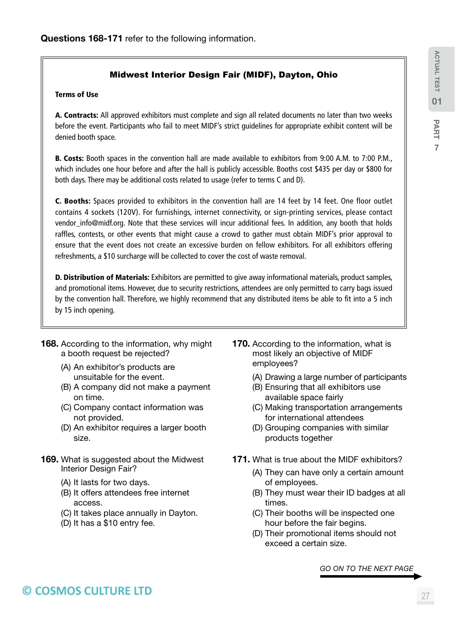#### Midwest Interior Design Fair (MIDF), Dayton, Ohio

#### Terms of Use

A. Contracts: All approved exhibitors must complete and sign all related documents no later than two weeks before the event. Participants who fail to meet MIDF's strict guidelines for appropriate exhibit content will be denied booth space.

B. Costs: Booth spaces in the convention hall are made available to exhibitors from 9:00 A.M. to 7:00 P.M., which includes one hour before and after the hall is publicly accessible. Booths cost \$435 per day or \$800 for both days. There may be additional costs related to usage (refer to terms C and D).

C. Booths: Spaces provided to exhibitors in the convention hall are 14 feet by 14 feet. One floor outlet contains 4 sockets (120V). For furnishings, internet connectivity, or sign-printing services, please contact vendor\_info@midf.org. Note that these services will incur additional fees. In addition, any booth that holds raffles, contests, or other events that might cause a crowd to gather must obtain MIDF's prior approval to ensure that the event does not create an excessive burden on fellow exhibitors. For all exhibitors offering refreshments, a \$10 surcharge will be collected to cover the cost of waste removal.

**D. Distribution of Materials:** Exhibitors are permitted to give away informational materials, product samples, and promotional items. However, due to security restrictions, attendees are only permitted to carry bags issued by the convention hall. Therefore, we highly recommend that any distributed items be able to fit into a 5 inch by 15 inch opening.

- **168.** According to the information, why might a booth request be rejected?
	- (A) An exhibitor's products are unsuitable for the event.
	- (B) A company did not make a payment on time.
	- (C) Company contact information was not provided.
	- (D) An exhibitor requires a larger booth size.
- 169. What is suggested about the Midwest Interior Design Fair?
	- (A) It lasts for two days.
	- (B) It offers attendees free internet access.
	- (C) It takes place annually in Dayton.
	- (D) It has a \$10 entry fee.
- **170.** According to the information, what is most likely an objective of MIDF employees?
	- (A) Drawing a large number of participants
	- (B) Ensuring that all exhibitors use available space fairly
	- (C) Making transportation arrangements for international attendees
	- (D) Grouping companies with similar products together
- 171. What is true about the MIDF exhibitors?
	- (A) They can have only a certain amount of employees.
	- (B) They must wear their ID badges at all times.
	- (C) Their booths will be inspected one hour before the fair begins.
	- (D) Their promotional items should not exceed a certain size.

*GO ON TO THE NEXT PAGE*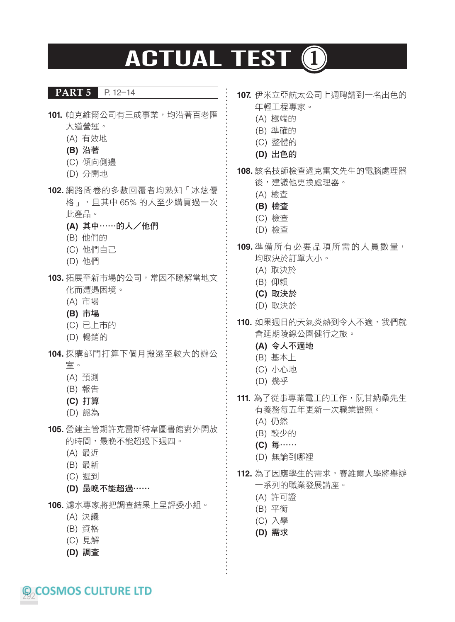## **ACTUAL TEST 1**

#### **PART 5** P. 12–14

- **101.** 帕克維爾公司有三成事業,均沿著百老匯 大道營運。
	- (A) 有效地
	- **(B)** 沿著
	- (C) 傾向側邊
	- (D) 分開地
- **102.** 網路問卷的多數回覆者均熟知「冰炫優 格」,且其中 65% 的人至少購買過一次 此產品。
	- **(A)** 其中⋯⋯的人/他們
	- (B) 他們的
	- (C) 他們自己
	- (D) 他們
- **103.** 拓展至新市場的公司,常因不瞭解當地文 化而遭遇困境。
	- (A) 市場
	- **(B)** 市場
	- (C) 已上市的
	- (D) 暢銷的
- **104.** 採購部門打算下個月搬遷至較大的辦公
	- 室。
	- (A) 預測
	- (B) 報告
	- **(C)** 打算
	- (D) 認為
- **105.** 營建主管期許克雷斯特韋圖書館對外開放 的時間,最晚不能超過下週四。
	- (A) 最近
	- (B) 最新
	- (C) 遲到
	- **(D)** 最晚不能超過⋯⋯
- **106.** 濾水專家將把調查結果上呈評委小組。
	- (A) 決議
	- (B) 資格
	- (C) 見解
	- **(D)** 調查
- **107.** 伊米立亞航太公司上週聘請到一名出色的 年輕工程專家。
	- (A) 極端的
	- (B) 準確的
	- (C) 整體的
	- **(D)** 出色的
- **108.** 該名技師檢查過克雷文先生的電腦處理器 後,建議他更換處理器。
	- (A) 檢查
	- **(B)** 檢查
	- (C) 檢查
	- (D) 檢查
- **109.** 準備所有必要品項所需的人員數量, 均取決於訂單大小。
	- (A) 取決於
	- (B) 仰賴
	- **(C)** 取決於
	- (D) 取決於
- **110.** 如果週日的天氣炎熱到令人不適,我們就 會延期陵線公園健行之旅。
	- **(A)** 令人不適地
	- (B) 基本上
	- (C) 小心地
	- (D) 幾乎
- **111.** 為了從事專業電工的工作, 阮甘納桑先生 有義務每五年更新一次職業證照。
	- (A) 仍然
	- (B) 較少的
	- **(C)** 每⋯⋯
	- (D) 無論到哪裡
- 112. 為了因應學生的需求, 賽維爾大學將舉辦 一系列的職業發展講座。
	- (A) 許可證
	- (B) 平衡
	- (C) 入學
	- **(D)** 需求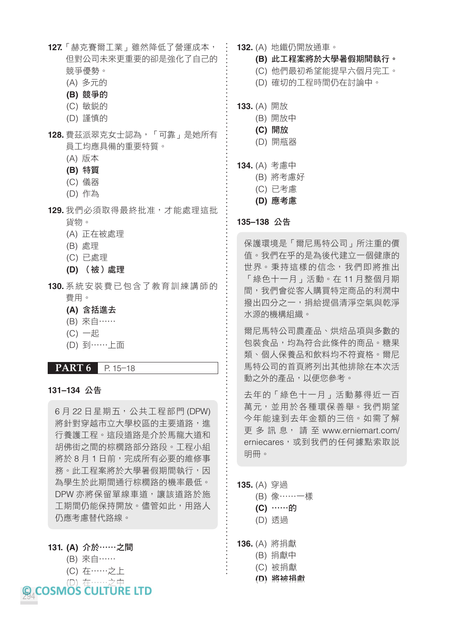- **127.**「赫克賽爾工業」雖然降低了營運成本, 但對公司未來更重要的卻是強化了自己的 競爭優勢。
	- (A) 多元的
	- **(B)** 競爭的
	- (C) 敏銳的
	- (D) 謹慎的
- **128.** 費茲派翠克女士認為,「可靠」是她所有 員工均應具備的重要特質。
	- (A) 版本
	- **(B)** 特質
	- (C) 儀器
	- (D) 作為
- **129.** 我們必須取得最終批准,才能處理這批 貨物。
	- (A) 正在被處理
	- (B) 處理
	- (C) 已處理
	- **(D)** (被)處理
- **130.** 系統安裝費已包含了教育訓練講師的 費用。
	- **(A)** 含括進去
	- (B) 來自⋯⋯
	- (C) 一起
	- (D) 到⋯⋯上面
- **PART 6** P. 15–18

#### **131–134** 公告

6月22日星期五,公共工程部門 (DPW) 將針對穿越市立大學校區的主要道路,進 行養護工程。這段道路是介於馬龍大道和 胡佛街之間的棕櫚路部分路段。工程小組 將於 8月1日前,完成所有必要的維修事 務。此工程案將於大學暑假期間執行,因 為學生於此期間通行棕櫚路的機率最低。 DPW 亦將保留單線車道,讓該道路於施 工期間仍能保持開放。儘管如此,用路人 仍應考慮替代路線。

#### **131. (A)** 介於⋯⋯之間

- (B) 來自⋯⋯
- (C) 在⋯⋯之上
- 294 (D) 在⋯⋯之中
- **132.** (A) 地鐵仍開放通車。
	- **(B)** 此工程案將於大學暑假期間執行。
	- (C) 他們最初希望能提早六個月完工。
	- (D) 確切的工程時間仍在討論中。
- **133.** (A) 開放
	- (B) 開放中
	- **(C)** 開放
	- (D) 開瓶器
- **134.** (A) 考慮中
	- (B) 將考慮好
	- (C) 已考慮
	- **(D)** 應考慮

#### **135–138** 公告

保護環境是「爾尼馬特公司」所注重的價 值。我們在乎的是為後代建立一個健康的 世界。秉持這樣的信念,我們即將推出 「綠色十一月」活動。在 11 月整個月期 間,我們會從客人購買特定商品的利潤中 撥出四分之一,捐給提倡清淨空氣與乾淨 水源的機構組織。

爾尼馬特公司農產品、烘焙品項與多數的 包裝食品,均為符合此條件的商品。糖果 類、個人保養品和飲料均不符資格。爾尼 馬特公司的首頁將列出其他排除在本次活 動之外的產品,以便您參考。

去年的「綠色十一月」活動募得近一百 萬元,並用於各種環保善舉。我們期望 今年能達到去年金額的三倍。如需了解 更 多 訊 息, 請 至 www.erniemart.com/ erniecares,或到我們的任何據點索取説 明冊。

- **135.** (A) 穿過
	- (B) 像⋯⋯一樣  **(C)** ⋯⋯的
	- (D) 透過
- **136.** (A) 將捐獻
	- (B) 捐獻中
	- (C) 被捐獻
	- **(D)** 將被捐獻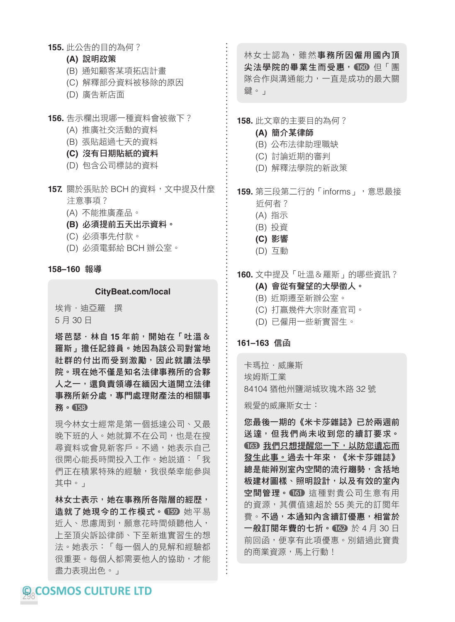**155.** 此公告的目的為何?

#### **(A)** 說明政策

- (B) 通知顧客某項拓店計畫
- (C) 解釋部分資料被移除的原因
- (D) 廣告新店面
- **156.** 告示欄出現哪一種資料會被徹下?
	- (A) 推廣社交活動的資料
	- (B) 張貼超過七天的資料
	- **(C)** 沒有日期貼紙的資料
	- (D) 包含公司標誌的資料
- **157.** 關於張貼於 BCH 的資料,文中提及什麼 注意事項?
	- (A) 不能推廣產品。
	- **(B)** 必須提前五天出示資料。
	- (C) 必須事先付款。
	- (D) 必須電郵給 BCH 辦公室。

#### **158–160** 報導

#### **CityBeat.com/local**

埃肯.迪亞羅 撰 5 月 30 日

塔芭瑟.林自 **15** 年前,開始在「吐溫& 羅斯」擔任記錄員。她因為該公司對當地 社群的付出而受到激勵,因此就讀法學 院。現在她不僅是知名法律事務所的合夥 人之一,還負責領導在緬因大道開立法律 事務所新分處,專門處理財產法的相關事 務。 158

現今林女士經常是第一個抵達公司、又最 晚下班的人。她就算不在公司,也是在搜 **尋資料或會見新客戶。不過,她表示自己** 很開心能長時間投入工作。她說道:「我 們正在積累特殊的經驗,我很榮幸能參與 其中。」

林女士表示,她在事務所各階層的經歷, 造就了她現今的工作模式。 159 她平易 近人、思慮周到,願意花時間傾聽他人, 上至頂尖訴訟律師、下至新進實習生的想 法。她表示:「每一個人的見解和經驗都 很重要。每個人都需要他人的協助,才能 盡力表現出色。」

林女士認為,雖然事務所因僱用國內頂 尖法學院的畢業生而受惠, 160 但「團 隊合作與溝通能力,一直是成功的最大關 鍵。」

#### **158.** 此文章的主要目的為何?

- **(A)** 簡介某律師
- (B) 公布法律助理職缺
- (C) 討論近期的審判
- (D) 解釋法學院的新政策

**159.** 第三段第二行的「informs」,意思最接

- 近何者?
- (A) 指示
- (B) 投資
- **(C)** 影響
- (D) 互動

#### **160.** 文中提及「吐溫&羅斯」的哪些資訊?

- **(A)** 會從有聲望的大學徵人。
- (B) 近期遷至新辦公室。
- (C) 打贏幾件大宗財產官司。
- (D) 已僱用一些新實習生。

#### **161–163** 信函

卡瑪拉.威廉斯 埃姆斯工業 84104 猶他州鹽湖城玫瑰木路 32 號

親愛的威廉斯女士:

您最後一期的《米卡莎雜誌》已於兩週前 送達,但我們尚未收到您的續訂要求。 163 我們只想提醒您一下,以防您遺忘而 發生此事。過去十年來,《米卡莎雜誌》 總是能辨別室內空間的流行趨勢,含括地 板建材圖樣、照明設計,以及有效的室內 空間管理。 161 這種對貴公司生意有用 的資源,其價值遠超於 55 美元的訂閱年 費。不過,本通知內含續訂優惠,相當於 一般訂閱年費的七折。 162 於 4 月 30 日 前回函,便享有此項優惠。別錯過此寶貴 的商業資源,馬上行動!

**Q.COSMOS CULTURE LTD**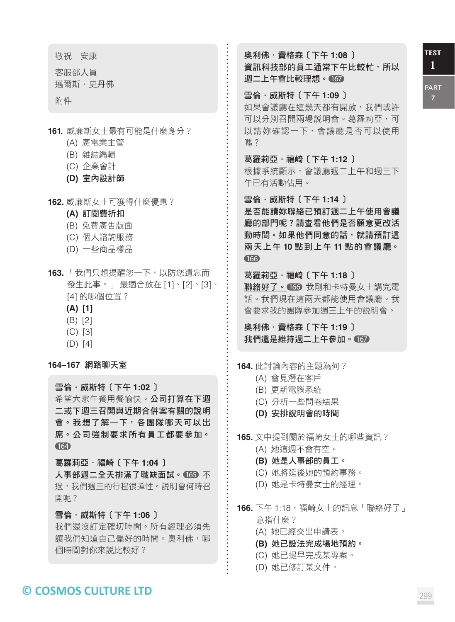**1** TEST

PART

敬祝 安康

客服部人員 邁爾斯.史丹佛

附件

**161.** 威廉斯女士最有可能是什麼身分?

- (A) 廣電業主管
- (B) 雜誌編輯
- (C) 企業會計
- **(D)** 室內設計師
- **162.** 威廉斯女士可獲得什麼優惠?
	- **(A)** 訂閱費折扣
	- (B) 免費廣告版面
	- (C) 個人諮詢服務
	- (D) 一些商品樣品
- **163.** 「我們只想提醒您一下,以防您遺忘而 發生此事。」 最適合放在 [1]、[2]、[3]、 [4] 的哪個位置?
	- **(A) [1]**
	- (B) [2]
	- (C) [3]
	- (D) [4]

**164–167** 網路聊天室

雪倫.威斯特〔下午 **1:02** 〕 希望大家午餐用餐愉快。公司打算在下週 二或下週三召開與近期合併案有關的說明 會。我想了解一下,各團隊哪天可以出 席。公司強制要求所有員工都要參加。 164

葛羅莉亞.福崎〔下午 **1:04** 〕

人事部週二全天排滿了職缺面試。 165 不 過,我們週三的行程很彈性。說明會何時召 開呢?

雪倫.威斯特〔下午 **1:06** 〕

我們還沒訂定確切時間。所有經理必須先 讓我們知道自己偏好的時間。奧利佛,哪 個時間對你來說比較好?

奧利佛.費格森〔下午 **1:08** 〕 資訊科技部的員工通常下午比較忙,所以 週二上午會比較理想。 167

#### 雪倫.威斯特〔下午 **1:09** 〕

如果會議廳在這幾天都有開放,我們或許 可以分別召開兩場説明會。葛羅莉亞,可 以請妳確認一下,會議廳是否可以使用 嗎?

葛羅莉亞.福崎〔下午 **1:12** 〕

根據系統顯示,會議廳週二上午和週三下 午已有活動佔用。

雪倫.威斯特〔下午 **1:14** 〕

是否能請妳聯絡已預訂週二上午使用會議 廳的部門呢?請查看他們是否願意更改活 動時間。如果他們同意的話,就請預訂這 兩天上午 **10** 點到上午 **11** 點的會議廳。 166

葛羅莉亞.福崎〔下午 **1:18** 〕 聯絡好了。 166 我剛和卡特曼女士講完電 話。我們現在這兩天都能使用會議廳。我 會要求我的團隊參加週三上午的說明會。

奧利佛.費格森〔下午 **1:19** 〕 我們還是維持週二上午參加。 167

**164.** 此討論內容的主題為何?

- (A) 會見潛在客戶
- (B) 更新電腦系統
- (C) 分析一些問卷結果
- **(D)** 安排說明會的時間
- **165.** 文中提到關於福崎女士的哪些資訊?
	- (A) 她這週不會有空。
	- **(B)** 她是人事部的員工。
	- (C) 她將延後她的預約事務。
	- (D) 她是卡特曼女士的經理。
- **166.** 下午 1:18,福崎女士的訊息「聯絡好了」 意指什麼?
	- (A) 她已經交出申請表。
	- **(B)** 她已設法完成場地預約。
	- (C) 她已提早完成某專案。
	- (D) 她已修訂某文件。